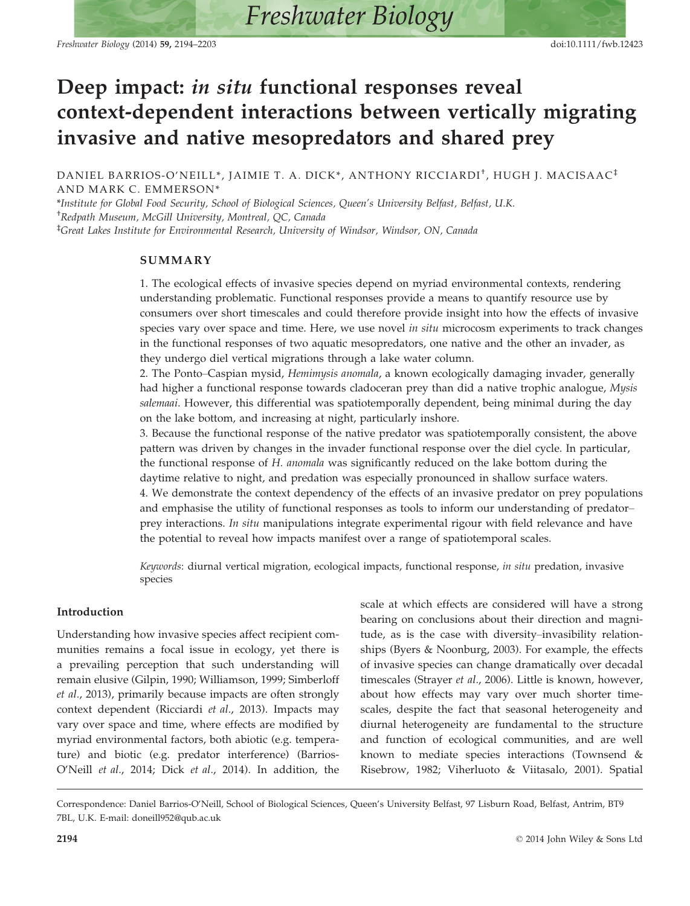Freshwater Biology (2014) 59, 2194–2203 doi:10.1111/fwb.12423

# Deep impact: in situ functional responses reveal context-dependent interactions between vertically migrating invasive and native mesopredators and shared prey

DANIEL BARRIOS-O'NEILL\*, JAIMIE T. A. DICK\*, ANTHONY RICCIARDI<sup>†</sup>, HUGH J. MACISAAC<sup>‡</sup> AND MARK C. EMMERSON\*

\*Institute for Global Food Security, School of Biological Sciences, Queen's University Belfast, Belfast, U.K. † Redpath Museum, McGill University, Montreal, QC, Canada ‡ Great Lakes Institute for Environmental Research, University of Windsor, Windsor, ON, Canada

## SUMMARY

1. The ecological effects of invasive species depend on myriad environmental contexts, rendering understanding problematic. Functional responses provide a means to quantify resource use by consumers over short timescales and could therefore provide insight into how the effects of invasive species vary over space and time. Here, we use novel in situ microcosm experiments to track changes in the functional responses of two aquatic mesopredators, one native and the other an invader, as they undergo diel vertical migrations through a lake water column.

2. The Ponto–Caspian mysid, Hemimysis anomala, a known ecologically damaging invader, generally had higher a functional response towards cladoceran prey than did a native trophic analogue, Mysis salemaai. However, this differential was spatiotemporally dependent, being minimal during the day on the lake bottom, and increasing at night, particularly inshore.

3. Because the functional response of the native predator was spatiotemporally consistent, the above pattern was driven by changes in the invader functional response over the diel cycle. In particular, the functional response of H. anomala was significantly reduced on the lake bottom during the daytime relative to night, and predation was especially pronounced in shallow surface waters. 4. We demonstrate the context dependency of the effects of an invasive predator on prey populations and emphasise the utility of functional responses as tools to inform our understanding of predator– prey interactions. In situ manipulations integrate experimental rigour with field relevance and have the potential to reveal how impacts manifest over a range of spatiotemporal scales.

Keywords: diurnal vertical migration, ecological impacts, functional response, in situ predation, invasive species

## Introduction

Understanding how invasive species affect recipient communities remains a focal issue in ecology, yet there is a prevailing perception that such understanding will remain elusive (Gilpin, 1990; Williamson, 1999; Simberloff et al., 2013), primarily because impacts are often strongly context dependent (Ricciardi et al., 2013). Impacts may vary over space and time, where effects are modified by myriad environmental factors, both abiotic (e.g. temperature) and biotic (e.g. predator interference) (Barrios-O'Neill et al., 2014; Dick et al., 2014). In addition, the scale at which effects are considered will have a strong bearing on conclusions about their direction and magnitude, as is the case with diversity–invasibility relationships (Byers & Noonburg, 2003). For example, the effects of invasive species can change dramatically over decadal timescales (Strayer et al., 2006). Little is known, however, about how effects may vary over much shorter timescales, despite the fact that seasonal heterogeneity and diurnal heterogeneity are fundamental to the structure and function of ecological communities, and are well known to mediate species interactions (Townsend & Risebrow, 1982; Viherluoto & Viitasalo, 2001). Spatial

Correspondence: Daniel Barrios-O'Neill, School of Biological Sciences, Queen's University Belfast, 97 Lisburn Road, Belfast, Antrim, BT9 7BL, U.K. E-mail: doneill952@qub.ac.uk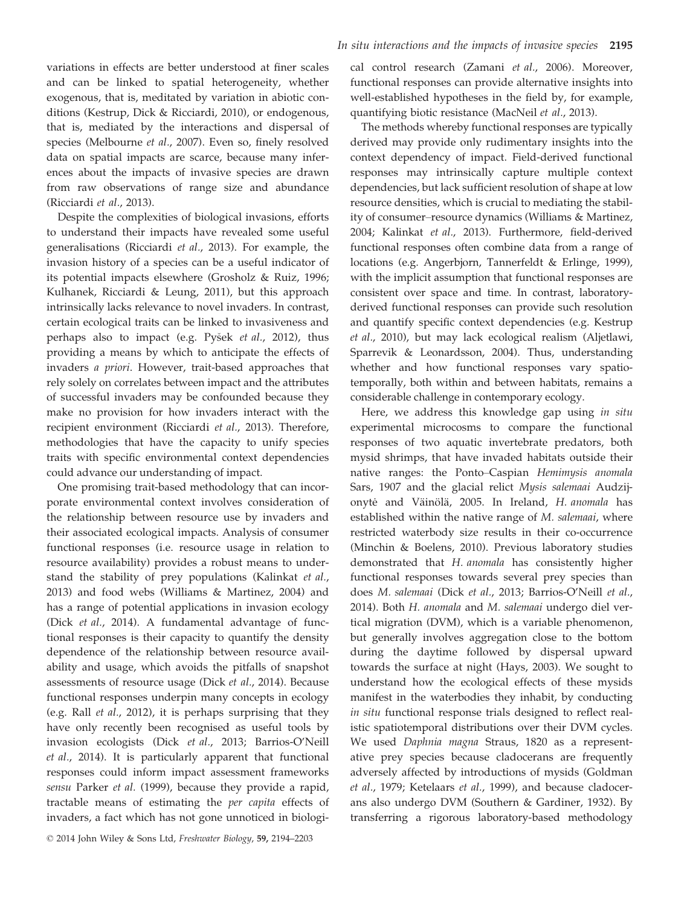variations in effects are better understood at finer scales and can be linked to spatial heterogeneity, whether exogenous, that is, meditated by variation in abiotic conditions (Kestrup, Dick & Ricciardi, 2010), or endogenous, that is, mediated by the interactions and dispersal of species (Melbourne et al., 2007). Even so, finely resolved data on spatial impacts are scarce, because many inferences about the impacts of invasive species are drawn from raw observations of range size and abundance (Ricciardi et al., 2013).

Despite the complexities of biological invasions, efforts to understand their impacts have revealed some useful generalisations (Ricciardi et al., 2013). For example, the invasion history of a species can be a useful indicator of its potential impacts elsewhere (Grosholz & Ruiz, 1996; Kulhanek, Ricciardi & Leung, 2011), but this approach intrinsically lacks relevance to novel invaders. In contrast, certain ecological traits can be linked to invasiveness and perhaps also to impact (e.g. Pysek et al., 2012), thus providing a means by which to anticipate the effects of invaders a priori. However, trait-based approaches that rely solely on correlates between impact and the attributes of successful invaders may be confounded because they make no provision for how invaders interact with the recipient environment (Ricciardi et al., 2013). Therefore, methodologies that have the capacity to unify species traits with specific environmental context dependencies could advance our understanding of impact.

One promising trait-based methodology that can incorporate environmental context involves consideration of the relationship between resource use by invaders and their associated ecological impacts. Analysis of consumer functional responses (i.e. resource usage in relation to resource availability) provides a robust means to understand the stability of prey populations (Kalinkat et al., 2013) and food webs (Williams & Martinez, 2004) and has a range of potential applications in invasion ecology (Dick et al., 2014). A fundamental advantage of functional responses is their capacity to quantify the density dependence of the relationship between resource availability and usage, which avoids the pitfalls of snapshot assessments of resource usage (Dick et al., 2014). Because functional responses underpin many concepts in ecology (e.g. Rall et al., 2012), it is perhaps surprising that they have only recently been recognised as useful tools by invasion ecologists (Dick et al., 2013; Barrios-O'Neill et al., 2014). It is particularly apparent that functional responses could inform impact assessment frameworks sensu Parker et al. (1999), because they provide a rapid, tractable means of estimating the per capita effects of invaders, a fact which has not gone unnoticed in biological control research (Zamani et al., 2006). Moreover, functional responses can provide alternative insights into well-established hypotheses in the field by, for example, quantifying biotic resistance (MacNeil et al., 2013).

The methods whereby functional responses are typically derived may provide only rudimentary insights into the context dependency of impact. Field-derived functional responses may intrinsically capture multiple context dependencies, but lack sufficient resolution of shape at low resource densities, which is crucial to mediating the stability of consumer–resource dynamics (Williams & Martinez, 2004; Kalinkat et al., 2013). Furthermore, field-derived functional responses often combine data from a range of locations (e.g. Angerbjorn, Tannerfeldt & Erlinge, 1999), with the implicit assumption that functional responses are consistent over space and time. In contrast, laboratoryderived functional responses can provide such resolution and quantify specific context dependencies (e.g. Kestrup et al., 2010), but may lack ecological realism (Aljetlawi, Sparrevik & Leonardsson, 2004). Thus, understanding whether and how functional responses vary spatiotemporally, both within and between habitats, remains a considerable challenge in contemporary ecology.

Here, we address this knowledge gap using in situ experimental microcosms to compare the functional responses of two aquatic invertebrate predators, both mysid shrimps, that have invaded habitats outside their native ranges: the Ponto–Caspian Hemimysis anomala Sars, 1907 and the glacial relict Mysis salemaai Audzijonytė and Väinölä, 2005. In Ireland, H. anomala has established within the native range of M. salemaai, where restricted waterbody size results in their co-occurrence (Minchin & Boelens, 2010). Previous laboratory studies demonstrated that H. anomala has consistently higher functional responses towards several prey species than does M. salemaai (Dick et al., 2013; Barrios-O'Neill et al., 2014). Both H. anomala and M. salemaai undergo diel vertical migration (DVM), which is a variable phenomenon, but generally involves aggregation close to the bottom during the daytime followed by dispersal upward towards the surface at night (Hays, 2003). We sought to understand how the ecological effects of these mysids manifest in the waterbodies they inhabit, by conducting in situ functional response trials designed to reflect realistic spatiotemporal distributions over their DVM cycles. We used Daphnia magna Straus, 1820 as a representative prey species because cladocerans are frequently adversely affected by introductions of mysids (Goldman et al., 1979; Ketelaars et al., 1999), and because cladocerans also undergo DVM (Southern & Gardiner, 1932). By transferring a rigorous laboratory-based methodology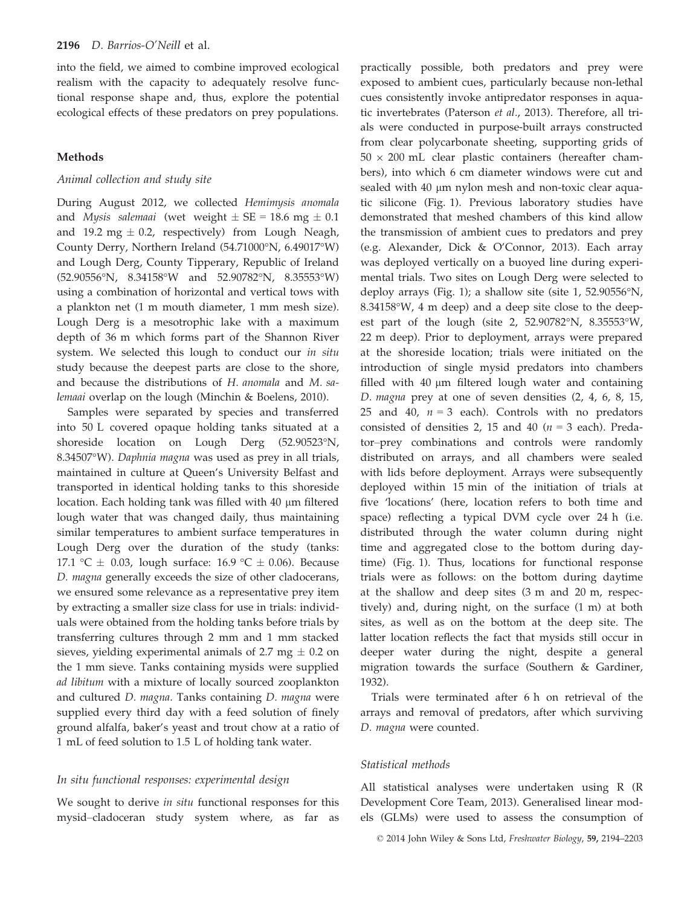into the field, we aimed to combine improved ecological realism with the capacity to adequately resolve functional response shape and, thus, explore the potential ecological effects of these predators on prey populations.

## Methods

## Animal collection and study site

During August 2012, we collected Hemimysis anomala and *Mysis salemaai* (wet weight  $\pm$  SE = 18.6 mg  $\pm$  0.1 and 19.2 mg  $\pm$  0.2, respectively) from Lough Neagh, County Derry, Northern Ireland (54.71000°N, 6.49017°W) and Lough Derg, County Tipperary, Republic of Ireland (52.90556°N, 8.34158°W and 52.90782°N, 8.35553°W) using a combination of horizontal and vertical tows with a plankton net (1 m mouth diameter, 1 mm mesh size). Lough Derg is a mesotrophic lake with a maximum depth of 36 m which forms part of the Shannon River system. We selected this lough to conduct our in situ study because the deepest parts are close to the shore, and because the distributions of H. anomala and M. salemaai overlap on the lough (Minchin & Boelens, 2010).

Samples were separated by species and transferred into 50 L covered opaque holding tanks situated at a shoreside location on Lough Derg (52.90523°N, 8.34507°W). Daphnia magna was used as prey in all trials, maintained in culture at Queen's University Belfast and transported in identical holding tanks to this shoreside location. Each holding tank was filled with  $40 \mu m$  filtered lough water that was changed daily, thus maintaining similar temperatures to ambient surface temperatures in Lough Derg over the duration of the study (tanks: 17.1 °C  $\pm$  0.03, lough surface: 16.9 °C  $\pm$  0.06). Because D. magna generally exceeds the size of other cladocerans, we ensured some relevance as a representative prey item by extracting a smaller size class for use in trials: individuals were obtained from the holding tanks before trials by transferring cultures through 2 mm and 1 mm stacked sieves, yielding experimental animals of 2.7 mg  $\pm$  0.2 on the 1 mm sieve. Tanks containing mysids were supplied ad libitum with a mixture of locally sourced zooplankton and cultured D. magna. Tanks containing D. magna were supplied every third day with a feed solution of finely ground alfalfa, baker's yeast and trout chow at a ratio of 1 mL of feed solution to 1.5 L of holding tank water.

## In situ functional responses: experimental design

We sought to derive *in situ* functional responses for this mysid–cladoceran study system where, as far as

practically possible, both predators and prey were exposed to ambient cues, particularly because non-lethal cues consistently invoke antipredator responses in aquatic invertebrates (Paterson et al., 2013). Therefore, all trials were conducted in purpose-built arrays constructed from clear polycarbonate sheeting, supporting grids of  $50 \times 200$  mL clear plastic containers (hereafter chambers), into which 6 cm diameter windows were cut and sealed with 40 µm nylon mesh and non-toxic clear aquatic silicone (Fig. 1). Previous laboratory studies have demonstrated that meshed chambers of this kind allow the transmission of ambient cues to predators and prey (e.g. Alexander, Dick & O'Connor, 2013). Each array was deployed vertically on a buoyed line during experimental trials. Two sites on Lough Derg were selected to deploy arrays (Fig. 1); a shallow site (site 1, 52.90556°N, 8.34158°W, 4 m deep) and a deep site close to the deepest part of the lough (site 2, 52.90782°N, 8.35553°W, 22 m deep). Prior to deployment, arrays were prepared at the shoreside location; trials were initiated on the introduction of single mysid predators into chambers filled with  $40 \mu m$  filtered lough water and containing D. magna prey at one of seven densities (2, 4, 6, 8, 15, 25 and 40,  $n = 3$  each). Controls with no predators consisted of densities 2, 15 and 40 ( $n = 3$  each). Predator–prey combinations and controls were randomly distributed on arrays, and all chambers were sealed with lids before deployment. Arrays were subsequently deployed within 15 min of the initiation of trials at five 'locations' (here, location refers to both time and space) reflecting a typical DVM cycle over 24 h (i.e. distributed through the water column during night time and aggregated close to the bottom during daytime) (Fig. 1). Thus, locations for functional response trials were as follows: on the bottom during daytime at the shallow and deep sites (3 m and 20 m, respectively) and, during night, on the surface (1 m) at both sites, as well as on the bottom at the deep site. The latter location reflects the fact that mysids still occur in deeper water during the night, despite a general migration towards the surface (Southern & Gardiner, 1932).

Trials were terminated after 6 h on retrieval of the arrays and removal of predators, after which surviving D. magna were counted.

## Statistical methods

All statistical analyses were undertaken using R (R Development Core Team, 2013). Generalised linear models (GLMs) were used to assess the consumption of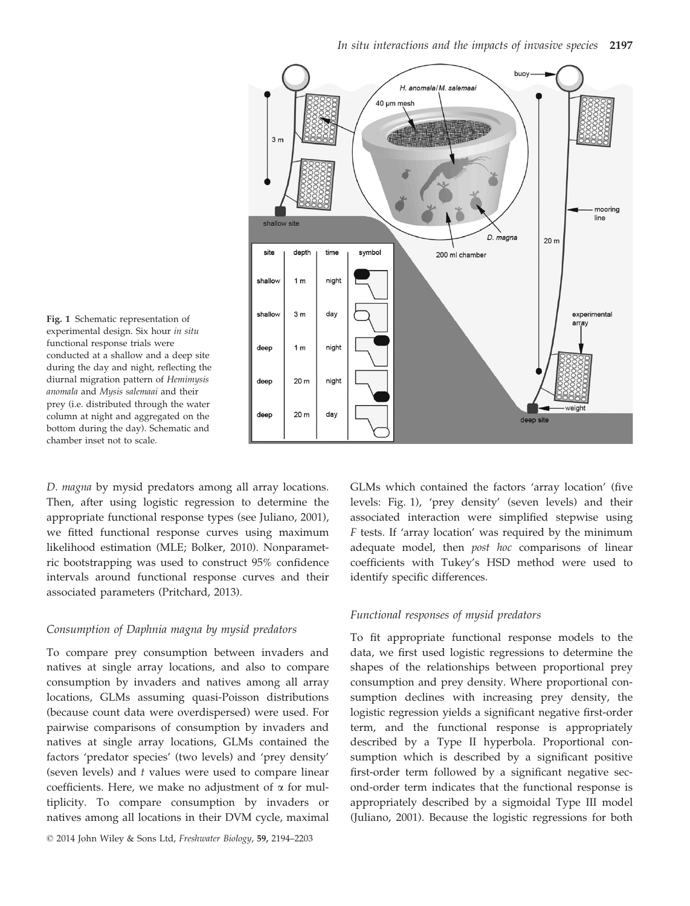

Fig. 1 Schematic representation of experimental design. Six hour in situ functional response trials were conducted at a shallow and a deep site during the day and night, reflecting the diurnal migration pattern of Hemimysis anomala and Mysis salemaai and their prey (i.e. distributed through the water column at night and aggregated on the bottom during the day). Schematic and chamber inset not to scale.

D. magna by mysid predators among all array locations. Then, after using logistic regression to determine the appropriate functional response types (see Juliano, 2001), we fitted functional response curves using maximum likelihood estimation (MLE; Bolker, 2010). Nonparametric bootstrapping was used to construct 95% confidence intervals around functional response curves and their associated parameters (Pritchard, 2013).

## Consumption of Daphnia magna by mysid predators

To compare prey consumption between invaders and natives at single array locations, and also to compare consumption by invaders and natives among all array locations, GLMs assuming quasi-Poisson distributions (because count data were overdispersed) were used. For pairwise comparisons of consumption by invaders and natives at single array locations, GLMs contained the factors 'predator species' (two levels) and 'prey density' (seven levels) and  $t$  values were used to compare linear coefficients. Here, we make no adjustment of  $\alpha$  for multiplicity. To compare consumption by invaders or natives among all locations in their DVM cycle, maximal

© 2014 John Wiley & Sons Ltd, Freshwater Biology, 59, 2194–2203

GLMs which contained the factors 'array location' (five levels: Fig. 1), 'prey density' (seven levels) and their associated interaction were simplified stepwise using F tests. If 'array location' was required by the minimum adequate model, then post hoc comparisons of linear coefficients with Tukey's HSD method were used to identify specific differences.

#### Functional responses of mysid predators

To fit appropriate functional response models to the data, we first used logistic regressions to determine the shapes of the relationships between proportional prey consumption and prey density. Where proportional consumption declines with increasing prey density, the logistic regression yields a significant negative first-order term, and the functional response is appropriately described by a Type II hyperbola. Proportional consumption which is described by a significant positive first-order term followed by a significant negative second-order term indicates that the functional response is appropriately described by a sigmoidal Type III model (Juliano, 2001). Because the logistic regressions for both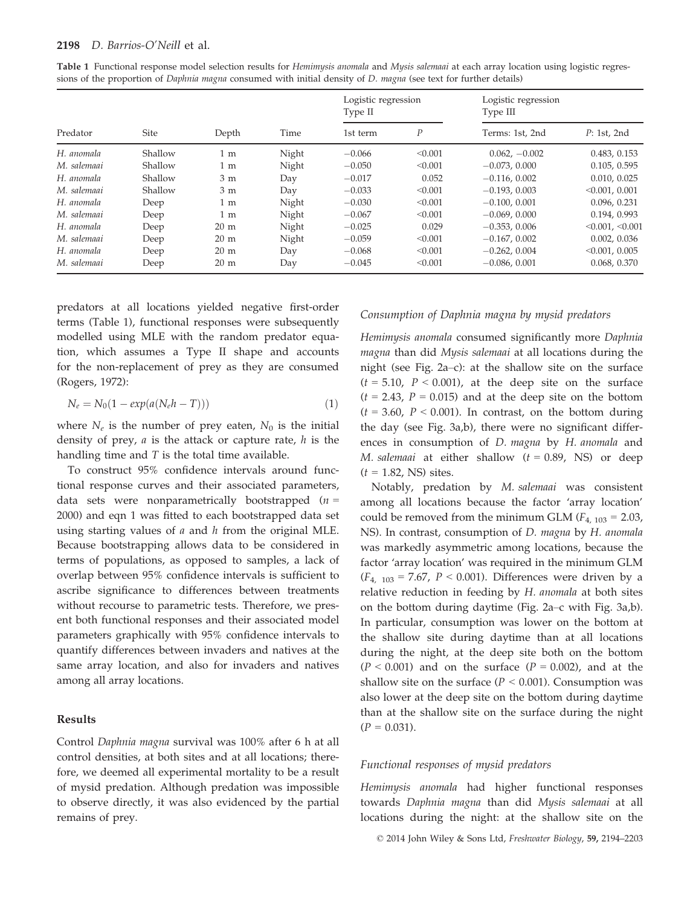| Table 1 Functional response model selection results for Hemimysis anomala and Mysis salemaai at each array location using logistic regres- |  |  |  |
|--------------------------------------------------------------------------------------------------------------------------------------------|--|--|--|
| sions of the proportion of Daphnia magna consumed with initial density of D. magna (see text for further details)                          |  |  |  |

|             |         |                |       | Logistic regression<br>Type II |                  | Logistic regression<br>Type III |                       |
|-------------|---------|----------------|-------|--------------------------------|------------------|---------------------------------|-----------------------|
| Predator    | Site    | Depth          | Time  | 1st term                       | $\boldsymbol{P}$ | Terms: 1st, 2nd                 | P: 1st, 2nd           |
| H. anomala  | Shallow | 1 <sub>m</sub> | Night | $-0.066$                       | < 0.001          | $0.062, -0.002$                 | 0.483, 0.153          |
| M. salemaai | Shallow | 1 <sub>m</sub> | Night | $-0.050$                       | < 0.001          | $-0.073, 0.000$                 | 0.105, 0.595          |
| H. anomala  | Shallow | 3 <sub>m</sub> | Day   | $-0.017$                       | 0.052            | $-0.116, 0.002$                 | 0.010, 0.025          |
| M. salemaai | Shallow | 3 <sub>m</sub> | Day   | $-0.033$                       | < 0.001          | $-0.193, 0.003$                 | < 0.001, 0.001        |
| H. anomala  | Deep    | $1 \text{ m}$  | Night | $-0.030$                       | < 0.001          | $-0.100, 0.001$                 | 0.096, 0.231          |
| M. salemaai | Deep    | 1 <sub>m</sub> | Night | $-0.067$                       | < 0.001          | $-0.069, 0.000$                 | 0.194, 0.993          |
| H. anomala  | Deep    | $20 \text{ m}$ | Night | $-0.025$                       | 0.029            | $-0.353, 0.006$                 | $< 0.001$ , $< 0.001$ |
| M. salemaai | Deep    | $20 \text{ m}$ | Night | $-0.059$                       | < 0.001          | $-0.167, 0.002$                 | 0.002, 0.036          |
| H. anomala  | Deep    | $20 \text{ m}$ | Day   | $-0.068$                       | < 0.001          | $-0.262, 0.004$                 | < 0.001, 0.005        |
| M. salemaai | Deep    | $20 \text{ m}$ | Day   | $-0.045$                       | < 0.001          | $-0.086, 0.001$                 | 0.068, 0.370          |

predators at all locations yielded negative first-order terms (Table 1), functional responses were subsequently modelled using MLE with the random predator equation, which assumes a Type II shape and accounts for the non-replacement of prey as they are consumed (Rogers, 1972):

$$
N_e = N_0(1 - exp(a(N_e h - T)))
$$
\n(1)

where  $N_e$  is the number of prey eaten,  $N_0$  is the initial density of prey,  $a$  is the attack or capture rate,  $h$  is the handling time and  $T$  is the total time available.

To construct 95% confidence intervals around functional response curves and their associated parameters, data sets were nonparametrically bootstrapped  $(n =$ 2000) and eqn 1 was fitted to each bootstrapped data set using starting values of  $a$  and  $h$  from the original MLE. Because bootstrapping allows data to be considered in terms of populations, as opposed to samples, a lack of overlap between 95% confidence intervals is sufficient to ascribe significance to differences between treatments without recourse to parametric tests. Therefore, we present both functional responses and their associated model parameters graphically with 95% confidence intervals to quantify differences between invaders and natives at the same array location, and also for invaders and natives among all array locations.

#### Results

Control Daphnia magna survival was 100% after 6 h at all control densities, at both sites and at all locations; therefore, we deemed all experimental mortality to be a result of mysid predation. Although predation was impossible to observe directly, it was also evidenced by the partial remains of prey.

## Consumption of Daphnia magna by mysid predators

Hemimysis anomala consumed significantly more Daphnia magna than did Mysis salemaai at all locations during the night (see Fig. 2a–c): at the shallow site on the surface  $(t = 5.10, P < 0.001)$ , at the deep site on the surface  $(t = 2.43, P = 0.015)$  and at the deep site on the bottom  $(t = 3.60, P < 0.001)$ . In contrast, on the bottom during the day (see Fig. 3a,b), there were no significant differences in consumption of D. magna by H. anomala and M. salemaai at either shallow  $(t = 0.89, \text{ NS})$  or deep  $(t = 1.82, NS)$  sites.

Notably, predation by M. salemaai was consistent among all locations because the factor 'array location' could be removed from the minimum GLM  $(F_{4, 103} = 2.03)$ , NS). In contrast, consumption of D. magna by H. anomala was markedly asymmetric among locations, because the factor 'array location' was required in the minimum GLM  $(F<sub>4, 103</sub> = 7.67, P < 0.001)$ . Differences were driven by a relative reduction in feeding by H. anomala at both sites on the bottom during daytime (Fig. 2a–c with Fig. 3a,b). In particular, consumption was lower on the bottom at the shallow site during daytime than at all locations during the night, at the deep site both on the bottom  $(P < 0.001)$  and on the surface  $(P = 0.002)$ , and at the shallow site on the surface ( $P < 0.001$ ). Consumption was also lower at the deep site on the bottom during daytime than at the shallow site on the surface during the night  $(P = 0.031)$ .

#### Functional responses of mysid predators

Hemimysis anomala had higher functional responses towards Daphnia magna than did Mysis salemaai at all locations during the night: at the shallow site on the

© 2014 John Wiley & Sons Ltd, Freshwater Biology, 59, 2194–2203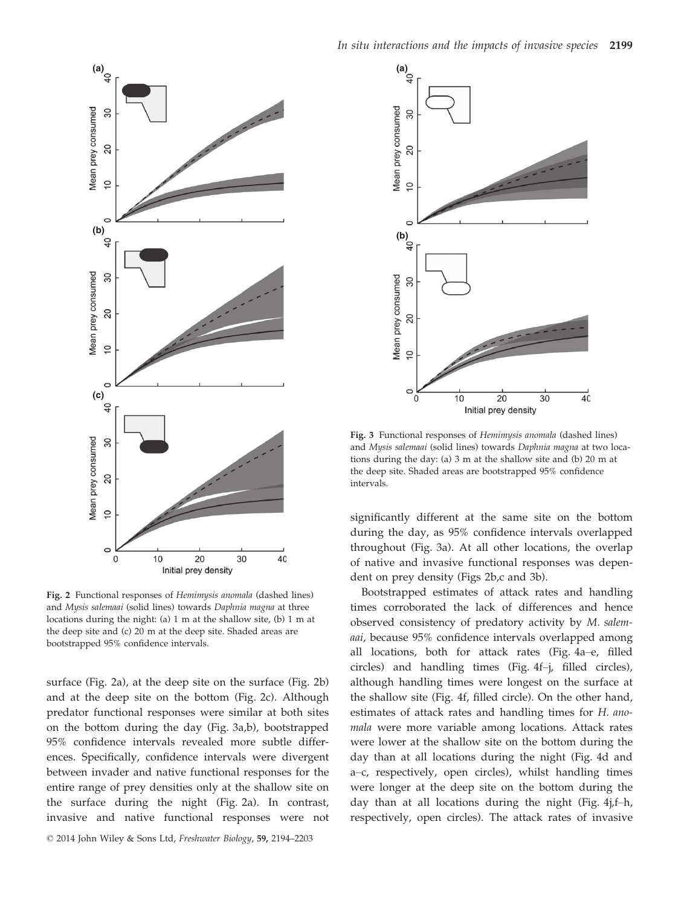

Fig. 2 Functional responses of Hemimysis anomala (dashed lines) and Mysis salemaai (solid lines) towards Daphnia magna at three locations during the night: (a) 1 m at the shallow site, (b) 1 m at the deep site and (c) 20 m at the deep site. Shaded areas are bootstrapped 95% confidence intervals.

surface (Fig. 2a), at the deep site on the surface (Fig. 2b) and at the deep site on the bottom (Fig. 2c). Although predator functional responses were similar at both sites on the bottom during the day (Fig. 3a,b), bootstrapped 95% confidence intervals revealed more subtle differences. Specifically, confidence intervals were divergent between invader and native functional responses for the entire range of prey densities only at the shallow site on the surface during the night (Fig. 2a). In contrast, invasive and native functional responses were not

© 2014 John Wiley & Sons Ltd, Freshwater Biology, 59, 2194–2203



Fig. 3 Functional responses of Hemimysis anomala (dashed lines) and Mysis salemaai (solid lines) towards Daphnia magna at two locations during the day: (a) 3 m at the shallow site and (b) 20 m at the deep site. Shaded areas are bootstrapped 95% confidence intervals.

significantly different at the same site on the bottom during the day, as 95% confidence intervals overlapped throughout (Fig. 3a). At all other locations, the overlap of native and invasive functional responses was dependent on prey density (Figs 2b,c and 3b).

Bootstrapped estimates of attack rates and handling times corroborated the lack of differences and hence observed consistency of predatory activity by M. salemaai, because 95% confidence intervals overlapped among all locations, both for attack rates (Fig. 4a–e, filled circles) and handling times (Fig. 4f–j, filled circles), although handling times were longest on the surface at the shallow site (Fig. 4f, filled circle). On the other hand, estimates of attack rates and handling times for H. anomala were more variable among locations. Attack rates were lower at the shallow site on the bottom during the day than at all locations during the night (Fig. 4d and a–c, respectively, open circles), whilst handling times were longer at the deep site on the bottom during the day than at all locations during the night (Fig. 4j,f–h, respectively, open circles). The attack rates of invasive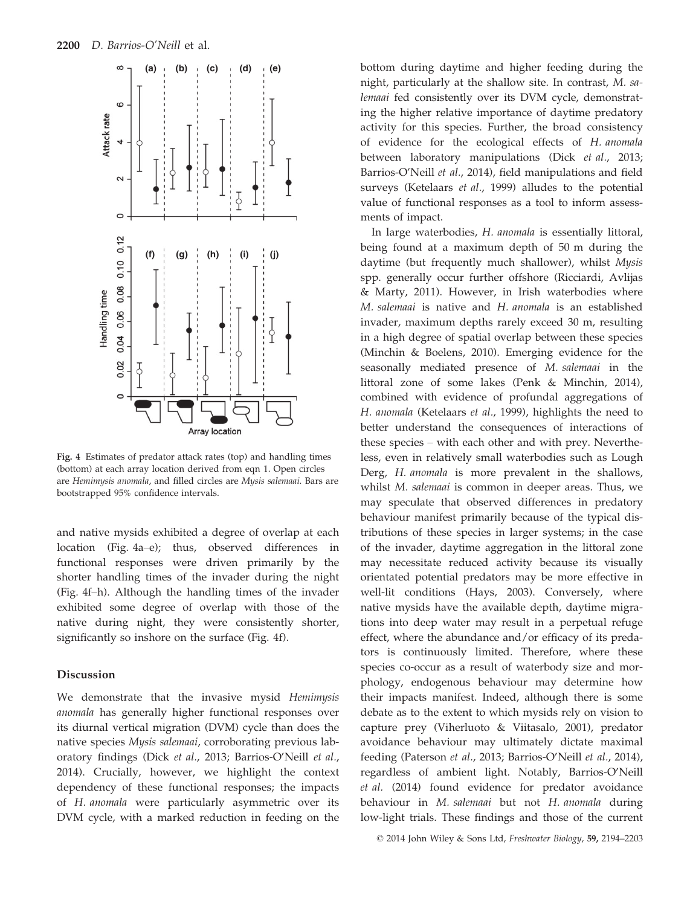

Fig. 4 Estimates of predator attack rates (top) and handling times (bottom) at each array location derived from eqn 1. Open circles are Hemimysis anomala, and filled circles are Mysis salemaai. Bars are bootstrapped 95% confidence intervals.

and native mysids exhibited a degree of overlap at each location (Fig. 4a–e); thus, observed differences in functional responses were driven primarily by the shorter handling times of the invader during the night (Fig. 4f–h). Although the handling times of the invader exhibited some degree of overlap with those of the native during night, they were consistently shorter, significantly so inshore on the surface (Fig. 4f).

## Discussion

We demonstrate that the invasive mysid Hemimysis anomala has generally higher functional responses over its diurnal vertical migration (DVM) cycle than does the native species Mysis salemaai, corroborating previous laboratory findings (Dick et al., 2013; Barrios-O'Neill et al., 2014). Crucially, however, we highlight the context dependency of these functional responses; the impacts of H. anomala were particularly asymmetric over its DVM cycle, with a marked reduction in feeding on the bottom during daytime and higher feeding during the night, particularly at the shallow site. In contrast, M. salemaai fed consistently over its DVM cycle, demonstrating the higher relative importance of daytime predatory activity for this species. Further, the broad consistency of evidence for the ecological effects of H. anomala between laboratory manipulations (Dick et al., 2013; Barrios-O'Neill et al., 2014), field manipulations and field surveys (Ketelaars et al., 1999) alludes to the potential value of functional responses as a tool to inform assessments of impact.

In large waterbodies, H. anomala is essentially littoral, being found at a maximum depth of 50 m during the daytime (but frequently much shallower), whilst Mysis spp. generally occur further offshore (Ricciardi, Avlijas & Marty, 2011). However, in Irish waterbodies where M. salemaai is native and H. anomala is an established invader, maximum depths rarely exceed 30 m, resulting in a high degree of spatial overlap between these species (Minchin & Boelens, 2010). Emerging evidence for the seasonally mediated presence of M. salemaai in the littoral zone of some lakes (Penk & Minchin, 2014), combined with evidence of profundal aggregations of H. anomala (Ketelaars et al., 1999), highlights the need to better understand the consequences of interactions of these species – with each other and with prey. Nevertheless, even in relatively small waterbodies such as Lough Derg, H. anomala is more prevalent in the shallows, whilst M. salemaai is common in deeper areas. Thus, we may speculate that observed differences in predatory behaviour manifest primarily because of the typical distributions of these species in larger systems; in the case of the invader, daytime aggregation in the littoral zone may necessitate reduced activity because its visually orientated potential predators may be more effective in well-lit conditions (Hays, 2003). Conversely, where native mysids have the available depth, daytime migrations into deep water may result in a perpetual refuge effect, where the abundance and/or efficacy of its predators is continuously limited. Therefore, where these species co-occur as a result of waterbody size and morphology, endogenous behaviour may determine how their impacts manifest. Indeed, although there is some debate as to the extent to which mysids rely on vision to capture prey (Viherluoto & Viitasalo, 2001), predator avoidance behaviour may ultimately dictate maximal feeding (Paterson et al., 2013; Barrios-O'Neill et al., 2014), regardless of ambient light. Notably, Barrios-O'Neill et al. (2014) found evidence for predator avoidance behaviour in M. salemaai but not H. anomala during low-light trials. These findings and those of the current

© 2014 John Wiley & Sons Ltd, Freshwater Biology, 59, 2194–2203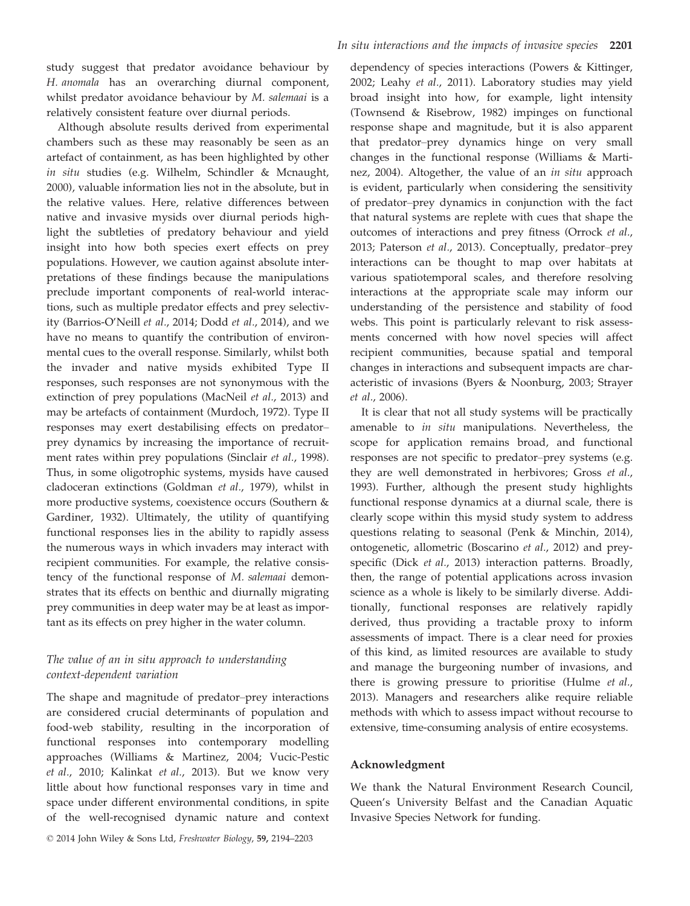study suggest that predator avoidance behaviour by H. anomala has an overarching diurnal component, whilst predator avoidance behaviour by M. salemaai is a relatively consistent feature over diurnal periods.

Although absolute results derived from experimental chambers such as these may reasonably be seen as an artefact of containment, as has been highlighted by other in situ studies (e.g. Wilhelm, Schindler & Mcnaught, 2000), valuable information lies not in the absolute, but in the relative values. Here, relative differences between native and invasive mysids over diurnal periods highlight the subtleties of predatory behaviour and yield insight into how both species exert effects on prey populations. However, we caution against absolute interpretations of these findings because the manipulations preclude important components of real-world interactions, such as multiple predator effects and prey selectivity (Barrios-O'Neill et al., 2014; Dodd et al., 2014), and we have no means to quantify the contribution of environmental cues to the overall response. Similarly, whilst both the invader and native mysids exhibited Type II responses, such responses are not synonymous with the extinction of prey populations (MacNeil et al., 2013) and may be artefacts of containment (Murdoch, 1972). Type II responses may exert destabilising effects on predator– prey dynamics by increasing the importance of recruitment rates within prey populations (Sinclair et al., 1998). Thus, in some oligotrophic systems, mysids have caused cladoceran extinctions (Goldman et al., 1979), whilst in more productive systems, coexistence occurs (Southern & Gardiner, 1932). Ultimately, the utility of quantifying functional responses lies in the ability to rapidly assess the numerous ways in which invaders may interact with recipient communities. For example, the relative consistency of the functional response of M. salemaai demonstrates that its effects on benthic and diurnally migrating prey communities in deep water may be at least as important as its effects on prey higher in the water column.

# The value of an in situ approach to understanding context-dependent variation

The shape and magnitude of predator–prey interactions are considered crucial determinants of population and food-web stability, resulting in the incorporation of functional responses into contemporary modelling approaches (Williams & Martinez, 2004; Vucic-Pestic et al., 2010; Kalinkat et al., 2013). But we know very little about how functional responses vary in time and space under different environmental conditions, in spite of the well-recognised dynamic nature and context dependency of species interactions (Powers & Kittinger, 2002; Leahy et al., 2011). Laboratory studies may yield broad insight into how, for example, light intensity (Townsend & Risebrow, 1982) impinges on functional response shape and magnitude, but it is also apparent that predator–prey dynamics hinge on very small changes in the functional response (Williams & Martinez, 2004). Altogether, the value of an *in situ* approach is evident, particularly when considering the sensitivity of predator–prey dynamics in conjunction with the fact that natural systems are replete with cues that shape the outcomes of interactions and prey fitness (Orrock et al., 2013; Paterson et al., 2013). Conceptually, predator–prey interactions can be thought to map over habitats at various spatiotemporal scales, and therefore resolving interactions at the appropriate scale may inform our understanding of the persistence and stability of food webs. This point is particularly relevant to risk assessments concerned with how novel species will affect recipient communities, because spatial and temporal changes in interactions and subsequent impacts are characteristic of invasions (Byers & Noonburg, 2003; Strayer et al., 2006).

It is clear that not all study systems will be practically amenable to in situ manipulations. Nevertheless, the scope for application remains broad, and functional responses are not specific to predator–prey systems (e.g. they are well demonstrated in herbivores; Gross et al., 1993). Further, although the present study highlights functional response dynamics at a diurnal scale, there is clearly scope within this mysid study system to address questions relating to seasonal (Penk & Minchin, 2014), ontogenetic, allometric (Boscarino et al., 2012) and preyspecific (Dick et al., 2013) interaction patterns. Broadly, then, the range of potential applications across invasion science as a whole is likely to be similarly diverse. Additionally, functional responses are relatively rapidly derived, thus providing a tractable proxy to inform assessments of impact. There is a clear need for proxies of this kind, as limited resources are available to study and manage the burgeoning number of invasions, and there is growing pressure to prioritise (Hulme et al., 2013). Managers and researchers alike require reliable methods with which to assess impact without recourse to extensive, time-consuming analysis of entire ecosystems.

#### Acknowledgment

We thank the Natural Environment Research Council, Queen's University Belfast and the Canadian Aquatic Invasive Species Network for funding.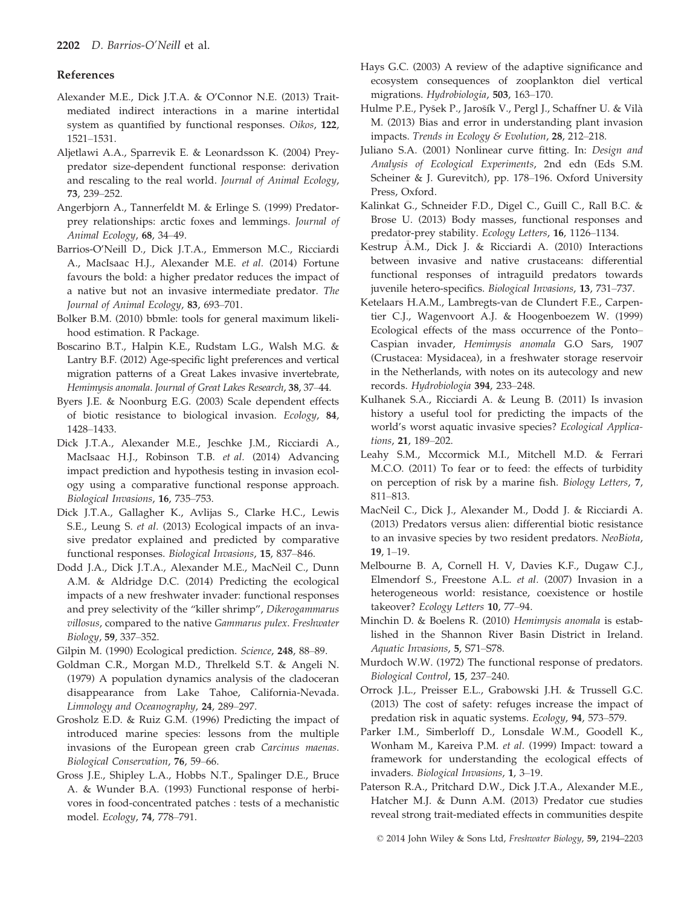## References

- Alexander M.E., Dick J.T.A. & O'Connor N.E. (2013) Traitmediated indirect interactions in a marine intertidal system as quantified by functional responses. Oikos, 122, 1521–1531.
- Aljetlawi A.A., Sparrevik E. & Leonardsson K. (2004) Preypredator size-dependent functional response: derivation and rescaling to the real world. Journal of Animal Ecology, 73, 239–252.
- Angerbjorn A., Tannerfeldt M. & Erlinge S. (1999) Predatorprey relationships: arctic foxes and lemmings. Journal of Animal Ecology, 68, 34–49.
- Barrios-O'Neill D., Dick J.T.A., Emmerson M.C., Ricciardi A., MacIsaac H.J., Alexander M.E. et al. (2014) Fortune favours the bold: a higher predator reduces the impact of a native but not an invasive intermediate predator. The Journal of Animal Ecology, 83, 693–701.
- Bolker B.M. (2010) bbmle: tools for general maximum likelihood estimation. R Package.
- Boscarino B.T., Halpin K.E., Rudstam L.G., Walsh M.G. & Lantry B.F. (2012) Age-specific light preferences and vertical migration patterns of a Great Lakes invasive invertebrate, Hemimysis anomala. Journal of Great Lakes Research, 38, 37–44.
- Byers J.E. & Noonburg E.G. (2003) Scale dependent effects of biotic resistance to biological invasion. Ecology, 84, 1428–1433.
- Dick J.T.A., Alexander M.E., Jeschke J.M., Ricciardi A., MacIsaac H.J., Robinson T.B. et al. (2014) Advancing impact prediction and hypothesis testing in invasion ecology using a comparative functional response approach. Biological Invasions, 16, 735–753.
- Dick J.T.A., Gallagher K., Avlijas S., Clarke H.C., Lewis S.E., Leung S. et al. (2013) Ecological impacts of an invasive predator explained and predicted by comparative functional responses. Biological Invasions, 15, 837–846.
- Dodd J.A., Dick J.T.A., Alexander M.E., MacNeil C., Dunn A.M. & Aldridge D.C. (2014) Predicting the ecological impacts of a new freshwater invader: functional responses and prey selectivity of the "killer shrimp", Dikerogammarus villosus, compared to the native Gammarus pulex. Freshwater Biology, 59, 337–352.
- Gilpin M. (1990) Ecological prediction. Science, 248, 88–89.
- Goldman C.R., Morgan M.D., Threlkeld S.T. & Angeli N. (1979) A population dynamics analysis of the cladoceran disappearance from Lake Tahoe, California-Nevada. Limnology and Oceanography, 24, 289–297.
- Grosholz E.D. & Ruiz G.M. (1996) Predicting the impact of introduced marine species: lessons from the multiple invasions of the European green crab Carcinus maenas. Biological Conservation, 76, 59–66.
- Gross J.E., Shipley L.A., Hobbs N.T., Spalinger D.E., Bruce A. & Wunder B.A. (1993) Functional response of herbivores in food-concentrated patches : tests of a mechanistic model. Ecology, 74, 778–791.
- Hays G.C. (2003) A review of the adaptive significance and ecosystem consequences of zooplankton diel vertical migrations. Hydrobiologia, 503, 163–170.
- Hulme P.E., Pysek P., Jarosık V., Pergl J., Schaffner U. & Vila M. (2013) Bias and error in understanding plant invasion impacts. Trends in Ecology & Evolution, 28, 212–218.
- Juliano S.A. (2001) Nonlinear curve fitting. In: Design and Analysis of Ecological Experiments, 2nd edn (Eds S.M. Scheiner & J. Gurevitch), pp. 178–196. Oxford University Press, Oxford.
- Kalinkat G., Schneider F.D., Digel C., Guill C., Rall B.C. & Brose U. (2013) Body masses, functional responses and predator-prey stability. Ecology Letters, 16, 1126–1134.
- Kestrup A.M., Dick J. & Ricciardi A. (2010) Interactions between invasive and native crustaceans: differential functional responses of intraguild predators towards juvenile hetero-specifics. Biological Invasions, 13, 731–737.
- Ketelaars H.A.M., Lambregts-van de Clundert F.E., Carpentier C.J., Wagenvoort A.J. & Hoogenboezem W. (1999) Ecological effects of the mass occurrence of the Ponto– Caspian invader, Hemimysis anomala G.O Sars, 1907 (Crustacea: Mysidacea), in a freshwater storage reservoir in the Netherlands, with notes on its autecology and new records. Hydrobiologia 394, 233–248.
- Kulhanek S.A., Ricciardi A. & Leung B. (2011) Is invasion history a useful tool for predicting the impacts of the world's worst aquatic invasive species? Ecological Applications, 21, 189–202.
- Leahy S.M., Mccormick M.I., Mitchell M.D. & Ferrari M.C.O. (2011) To fear or to feed: the effects of turbidity on perception of risk by a marine fish. Biology Letters, 7, 811–813.
- MacNeil C., Dick J., Alexander M., Dodd J. & Ricciardi A. (2013) Predators versus alien: differential biotic resistance to an invasive species by two resident predators. NeoBiota, 19, 1–19.
- Melbourne B. A, Cornell H. V, Davies K.F., Dugaw C.J., Elmendorf S., Freestone A.L. et al. (2007) Invasion in a heterogeneous world: resistance, coexistence or hostile takeover? Ecology Letters 10, 77–94.
- Minchin D. & Boelens R. (2010) Hemimysis anomala is established in the Shannon River Basin District in Ireland. Aquatic Invasions, 5, S71–S78.
- Murdoch W.W. (1972) The functional response of predators. Biological Control, 15, 237–240.
- Orrock J.L., Preisser E.L., Grabowski J.H. & Trussell G.C. (2013) The cost of safety: refuges increase the impact of predation risk in aquatic systems. Ecology, 94, 573–579.
- Parker I.M., Simberloff D., Lonsdale W.M., Goodell K., Wonham M., Kareiva P.M. et al. (1999) Impact: toward a framework for understanding the ecological effects of invaders. Biological Invasions, 1, 3–19.
- Paterson R.A., Pritchard D.W., Dick J.T.A., Alexander M.E., Hatcher M.J. & Dunn A.M. (2013) Predator cue studies reveal strong trait-mediated effects in communities despite

<sup>©</sup> 2014 John Wiley & Sons Ltd, Freshwater Biology, 59, 2194–2203